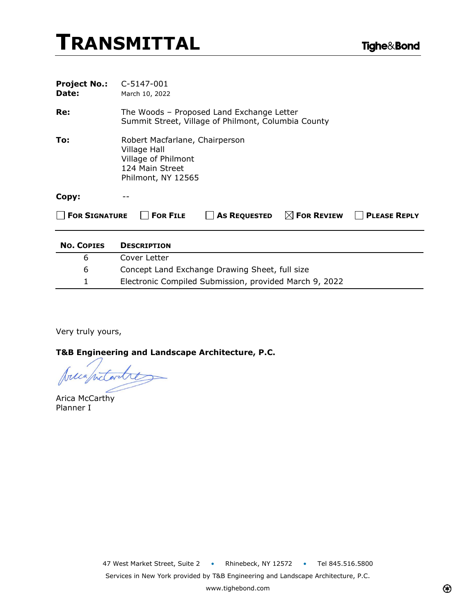| <b>Project No.:</b><br>Date: | C-5147-001<br>March 10, 2022                                                                                   |
|------------------------------|----------------------------------------------------------------------------------------------------------------|
| Re:                          | The Woods - Proposed Land Exchange Letter<br>Summit Street, Village of Philmont, Columbia County               |
| To:                          | Robert Macfarlane, Chairperson<br>Village Hall<br>Village of Philmont<br>124 Main Street<br>Philmont, NY 12565 |
| Copy:                        |                                                                                                                |
| <b>FOR SIGNATURE</b>         | $\boxtimes$ For Review<br><b>FOR FILE</b><br><b>As REQUESTED</b><br><b>PLEASE REPLY</b>                        |
| <b>No. COPIES</b>            | <b>DESCRIPTION</b>                                                                                             |
| 6                            | Cover Letter                                                                                                   |
| 6                            | Concept Land Exchange Drawing Sheet, full size                                                                 |
| 1                            | Electronic Compiled Submission, provided March 9, 2022                                                         |

Very truly yours,

**T&B Engineering and Landscape Architecture, P.C.**

precapitantres

Arica McCarthy Planner I

47 West Market Street, Suite 2 • Rhinebeck, NY 12572 • Tel 845.516.5800 Services in New York provided by T&B Engineering and Landscape Architecture, P.C.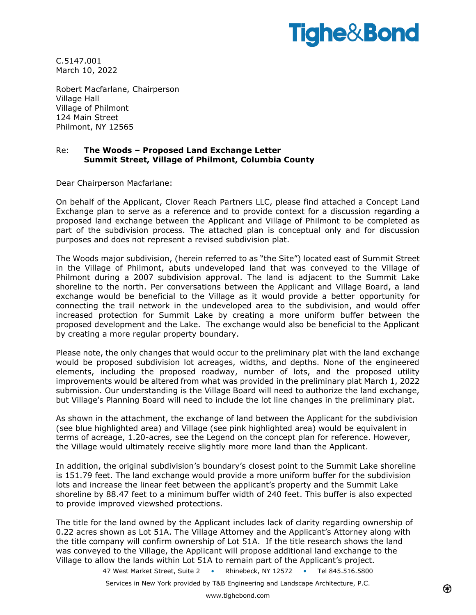# **Tighe&Bond**

C.5147.001 March 10, 2022

Robert Macfarlane, Chairperson Village Hall Village of Philmont 124 Main Street Philmont, NY 12565

#### Re: **The Woods – Proposed Land Exchange Letter Summit Street, Village of Philmont, Columbia County**

Dear Chairperson Macfarlane:

On behalf of the Applicant, Clover Reach Partners LLC, please find attached a Concept Land Exchange plan to serve as a reference and to provide context for a discussion regarding a proposed land exchange between the Applicant and Village of Philmont to be completed as part of the subdivision process. The attached plan is conceptual only and for discussion purposes and does not represent a revised subdivision plat.

The Woods major subdivision, (herein referred to as "the Site") located east of Summit Street in the Village of Philmont, abuts undeveloped land that was conveyed to the Village of Philmont during a 2007 subdivision approval. The land is adjacent to the Summit Lake shoreline to the north. Per conversations between the Applicant and Village Board, a land exchange would be beneficial to the Village as it would provide a better opportunity for connecting the trail network in the undeveloped area to the subdivision, and would offer increased protection for Summit Lake by creating a more uniform buffer between the proposed development and the Lake. The exchange would also be beneficial to the Applicant by creating a more regular property boundary.

Please note, the only changes that would occur to the preliminary plat with the land exchange would be proposed subdivision lot acreages, widths, and depths. None of the engineered elements, including the proposed roadway, number of lots, and the proposed utility improvements would be altered from what was provided in the preliminary plat March 1, 2022 submission. Our understanding is the Village Board will need to authorize the land exchange, but Village's Planning Board will need to include the lot line changes in the preliminary plat.

As shown in the attachment, the exchange of land between the Applicant for the subdivision (see blue highlighted area) and Village (see pink highlighted area) would be equivalent in terms of acreage, 1.20-acres, see the Legend on the concept plan for reference. However, the Village would ultimately receive slightly more more land than the Applicant.

In addition, the original subdivision's boundary's closest point to the Summit Lake shoreline is 151.79 feet. The land exchange would provide a more uniform buffer for the subdivision lots and increase the linear feet between the applicant's property and the Summit Lake shoreline by 88.47 feet to a minimum buffer width of 240 feet. This buffer is also expected to provide improved viewshed protections.

The title for the land owned by the Applicant includes lack of clarity regarding ownership of 0.22 acres shown as Lot 51A. The Village Attorney and the Applicant's Attorney along with the title company will confirm ownership of Lot 51A. If the title research shows the land was conveyed to the Village, the Applicant will propose additional land exchange to the Village to allow the lands within Lot 51A to remain part of the Applicant's project.

47 West Market Street, Suite 2 • Rhinebeck, NY 12572 • Tel 845.516.5800

Services in New York provided by T&B Engineering and Landscape Architecture, P.C.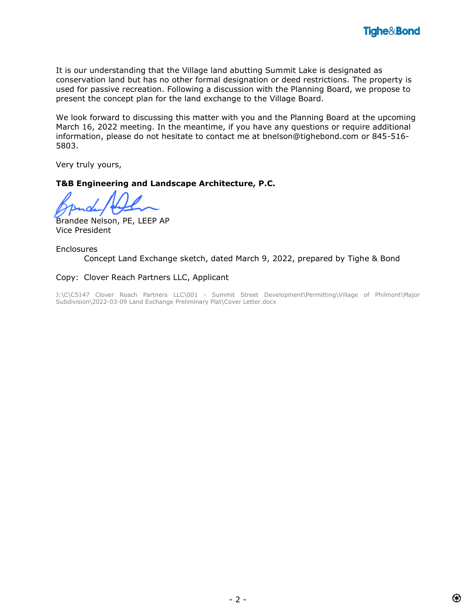It is our understanding that the Village land abutting Summit Lake is designated as conservation land but has no other formal designation or deed restrictions. The property is used for passive recreation. Following a discussion with the Planning Board, we propose to present the concept plan for the land exchange to the Village Board.

We look forward to discussing this matter with you and the Planning Board at the upcoming March 16, 2022 meeting. In the meantime, if you have any questions or require additional information, please do not hesitate to contact me at bnelson@tighebond.com or 845-516- 5803.

Very truly yours,

### **T&B Engineering and Landscape Architecture, P.C.**

Brandee Nelson, PE, LEEP AP Vice President

Enclosures Concept Land Exchange sketch, dated March 9, 2022, prepared by Tighe & Bond

### Copy: Clover Reach Partners LLC, Applicant

J:\C\C5147 Clover Reach Partners LLC\001 - Summit Street Development\Permitting\Village of Philmont\Major Subdivision\2022-03-09 Land Exchange Preliminary Plat\Cover Letter.docx